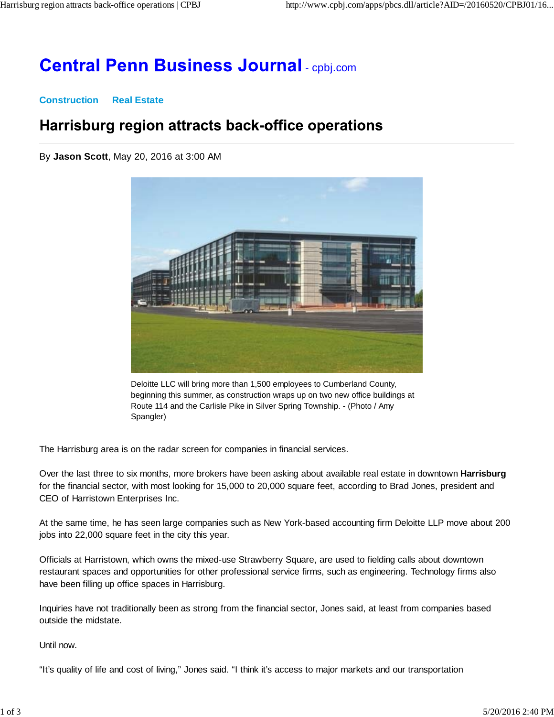# **Central Penn Business Journal - cpbj.com**

#### **Construction Real Estate**

### Harrisburg region attracts back-office operations

By **Jason Scott**, May 20, 2016 at 3:00 AM



Deloitte LLC will bring more than 1,500 employees to Cumberland County, beginning this summer, as construction wraps up on two new office buildings at Route 114 and the Carlisle Pike in Silver Spring Township. - (Photo / Amy Spangler)

The Harrisburg area is on the radar screen for companies in financial services.

Over the last three to six months, more brokers have been asking about available real estate in downtown **Harrisburg** for the financial sector, with most looking for 15,000 to 20,000 square feet, according to Brad Jones, president and CEO of Harristown Enterprises Inc.

At the same time, he has seen large companies such as New York-based accounting firm Deloitte LLP move about 200 jobs into 22,000 square feet in the city this year.

Officials at Harristown, which owns the mixed-use Strawberry Square, are used to fielding calls about downtown restaurant spaces and opportunities for other professional service firms, such as engineering. Technology firms also have been filling up office spaces in Harrisburg.

Inquiries have not traditionally been as strong from the financial sector, Jones said, at least from companies based outside the midstate.

Until now.

"It's quality of life and cost of living," Jones said. "I think it's access to major markets and our transportation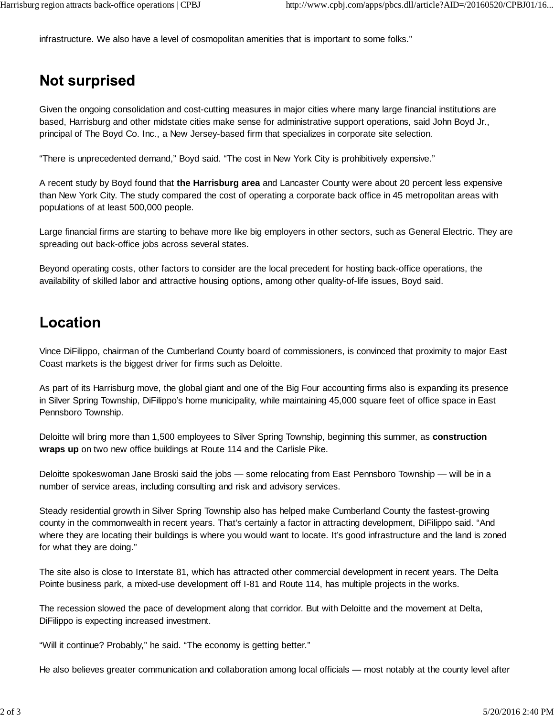infrastructure. We also have a level of cosmopolitan amenities that is important to some folks."

### **Not surprised**

Given the ongoing consolidation and cost-cutting measures in major cities where many large financial institutions are based, Harrisburg and other midstate cities make sense for administrative support operations, said John Boyd Jr., principal of The Boyd Co. Inc., a New Jersey-based firm that specializes in corporate site selection.

"There is unprecedented demand," Boyd said. "The cost in New York City is prohibitively expensive."

A recent study by Boyd found that **the Harrisburg area** and Lancaster County were about 20 percent less expensive than New York City. The study compared the cost of operating a corporate back office in 45 metropolitan areas with populations of at least 500,000 people.

Large financial firms are starting to behave more like big employers in other sectors, such as General Electric. They are spreading out back-office jobs across several states.

Beyond operating costs, other factors to consider are the local precedent for hosting back-office operations, the availability of skilled labor and attractive housing options, among other quality-of-life issues, Boyd said.

### **Location**

Vince DiFilippo, chairman of the Cumberland County board of commissioners, is convinced that proximity to major East Coast markets is the biggest driver for firms such as Deloitte.

As part of its Harrisburg move, the global giant and one of the Big Four accounting firms also is expanding its presence in Silver Spring Township, DiFilippo's home municipality, while maintaining 45,000 square feet of office space in East Pennsboro Township.

Deloitte will bring more than 1,500 employees to Silver Spring Township, beginning this summer, as **construction wraps up** on two new office buildings at Route 114 and the Carlisle Pike.

Deloitte spokeswoman Jane Broski said the jobs — some relocating from East Pennsboro Township — will be in a number of service areas, including consulting and risk and advisory services.

Steady residential growth in Silver Spring Township also has helped make Cumberland County the fastest-growing county in the commonwealth in recent years. That's certainly a factor in attracting development, DiFilippo said. "And where they are locating their buildings is where you would want to locate. It's good infrastructure and the land is zoned for what they are doing."

The site also is close to Interstate 81, which has attracted other commercial development in recent years. The Delta Pointe business park, a mixed-use development off I-81 and Route 114, has multiple projects in the works.

The recession slowed the pace of development along that corridor. But with Deloitte and the movement at Delta, DiFilippo is expecting increased investment.

"Will it continue? Probably," he said. "The economy is getting better."

He also believes greater communication and collaboration among local officials — most notably at the county level after